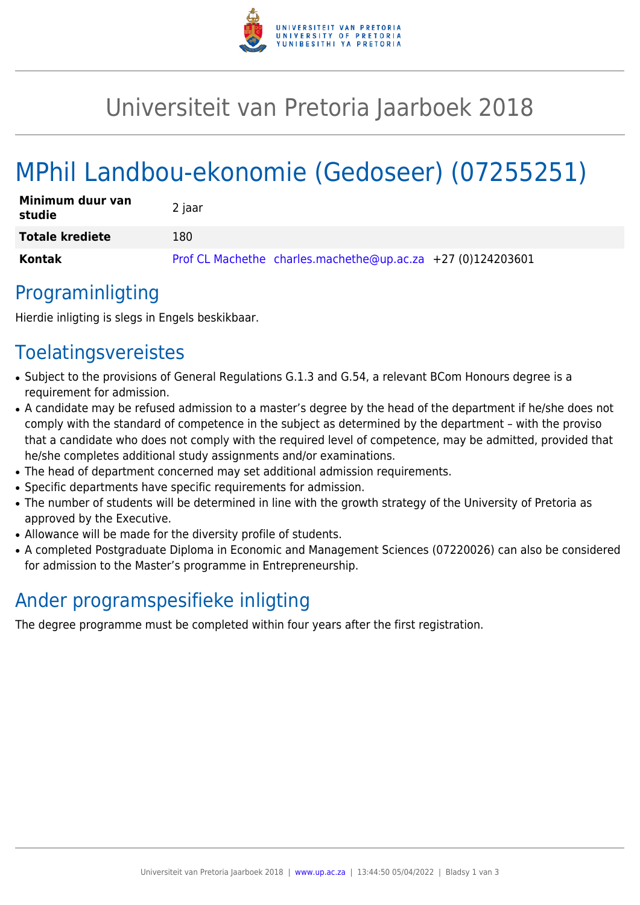

# Universiteit van Pretoria Jaarboek 2018

# MPhil Landbou-ekonomie (Gedoseer) (07255251)

| Minimum duur van<br>studie | 2 jaar                                                      |
|----------------------------|-------------------------------------------------------------|
| <b>Totale krediete</b>     | 180                                                         |
| Kontak                     | Prof CL Machethe charles.machethe@up.ac.za +27 (0)124203601 |

### Programinligting

Hierdie inligting is slegs in Engels beskikbaar.

# **Toelatingsvereistes**

- Subject to the provisions of General Regulations G.1.3 and G.54, a relevant BCom Honours degree is a requirement for admission.
- A candidate may be refused admission to a master's degree by the head of the department if he/she does not comply with the standard of competence in the subject as determined by the department – with the proviso that a candidate who does not comply with the required level of competence, may be admitted, provided that he/she completes additional study assignments and/or examinations.
- The head of department concerned may set additional admission requirements.
- Specific departments have specific requirements for admission.
- The number of students will be determined in line with the growth strategy of the University of Pretoria as approved by the Executive.
- Allowance will be made for the diversity profile of students.
- A completed Postgraduate Diploma in Economic and Management Sciences (07220026) can also be considered for admission to the Master's programme in Entrepreneurship.

# Ander programspesifieke inligting

The degree programme must be completed within four years after the first registration.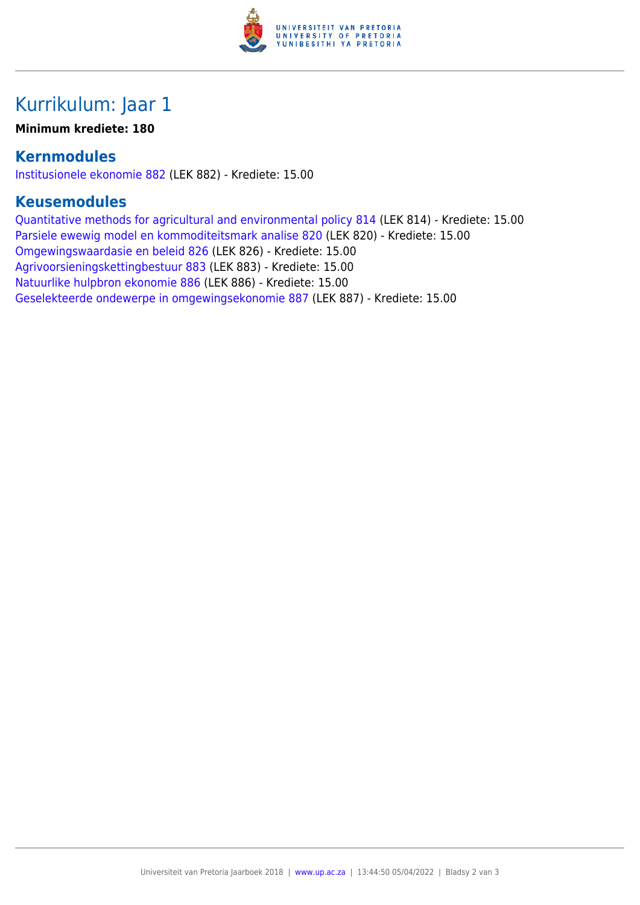

## Kurrikulum: Jaar 1

#### **Minimum krediete: 180**

### **Kernmodules**

[Institusionele ekonomie 882](https://www.up.ac.za/yearbooks/2018/modules/view/LEK 882/lg/af) (LEK 882) - Krediete: 15.00

### **Keusemodules**

[Quantitative methods for agricultural and environmental policy 814](https://www.up.ac.za/yearbooks/2018/modules/view/LEK 814/lg/af) (LEK 814) - Krediete: 15.00 [Parsiele ewewig model en kommoditeitsmark analise 820](https://www.up.ac.za/yearbooks/2018/modules/view/LEK 820/lg/af) (LEK 820) - Krediete: 15.00 [Omgewingswaardasie en beleid 826](https://www.up.ac.za/yearbooks/2018/modules/view/LEK 826/lg/af) (LEK 826) - Krediete: 15.00 [Agrivoorsieningskettingbestuur 883](https://www.up.ac.za/yearbooks/2018/modules/view/LEK 883/lg/af) (LEK 883) - Krediete: 15.00 [Natuurlike hulpbron ekonomie 886](https://www.up.ac.za/yearbooks/2018/modules/view/LEK 886/lg/af) (LEK 886) - Krediete: 15.00 [Geselekteerde ondewerpe in omgewingsekonomie 887](https://www.up.ac.za/yearbooks/2018/modules/view/LEK 887/lg/af) (LEK 887) - Krediete: 15.00